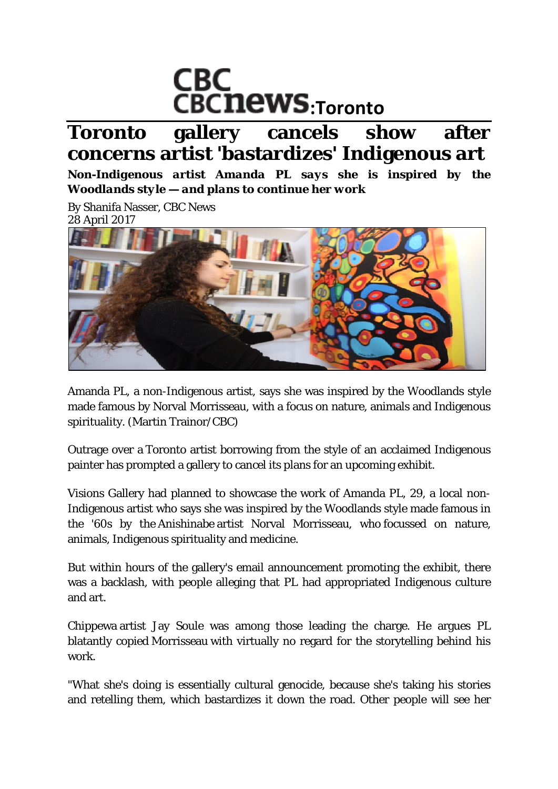

# **Toronto gallery cancels show after concerns artist 'bastardizes' Indigenous art**

*Non-Indigenous artist Amanda PL says she is inspired by the Woodlands style — and plans to continue her work*

By Shanifa Nasser, CBC News 28 April 2017



Amanda PL, a non-Indigenous artist, says she was inspired by the Woodlands style made famous by Norval Morrisseau, with a focus on nature, animals and Indigenous spirituality. (Martin Trainor/CBC)

Outrage over a Toronto artist borrowing from the style of an acclaimed Indigenous painter has prompted a gallery to cancel its plans for an upcoming exhibit.

Visions Gallery had planned to showcase the work of Amanda PL, 29, a local non-Indigenous artist who says she was inspired by the Woodlands style made famous in the '60s by the Anishinabe artist Norval Morrisseau, who focussed on nature, animals, Indigenous spirituality and medicine.

But within hours of the gallery's email announcement promoting the exhibit, there was a backlash, with people alleging that PL had appropriated Indigenous culture and art.

Chippewa artist Jay Soule was among those leading the charge. He argues PL blatantly copied Morrisseau with virtually no regard for the storytelling behind his work.

"What she's doing is essentially cultural genocide, because she's taking his stories and retelling them, which bastardizes it down the road. Other people will see her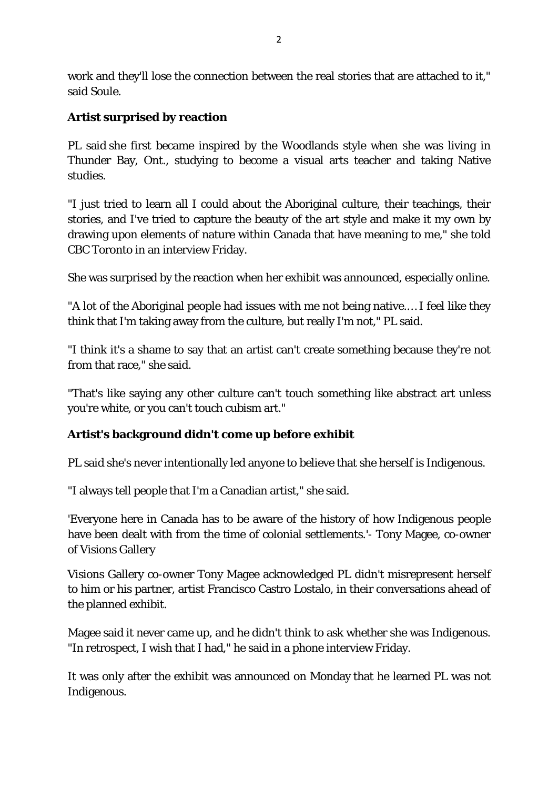work and they'll lose the connection between the real stories that are attached to it," said Soule.

## **Artist surprised by reaction**

PL said she first became inspired by the Woodlands style when she was living in Thunder Bay, Ont., studying to become a visual arts teacher and taking Native studies.

"I just tried to learn all I could about the Aboriginal culture, their teachings, their stories, and I've tried to capture the beauty of the art style and make it my own by drawing upon elements of nature within Canada that have meaning to me," she told CBC Toronto in an interview Friday.

She was surprised by the reaction when her exhibit was announced, especially online.

"A lot of the Aboriginal people had issues with me not being native.… I feel like they think that I'm taking away from the culture, but really I'm not," PL said.

"I think it's a shame to say that an artist can't create something because they're not from that race," she said.

"That's like saying any other culture can't touch something like abstract art unless you're white, or you can't touch cubism art."

## **Artist's background didn't come up before exhibit**

PL said she's never intentionally led anyone to believe that she herself is Indigenous.

"I always tell people that I'm a Canadian artist," she said.

'Everyone here in Canada has to be aware of the history of how Indigenous people have been dealt with from the time of colonial settlements.'- Tony Magee, co-owner of Visions Gallery

Visions Gallery co-owner Tony Magee acknowledged PL didn't misrepresent herself to him or his partner, artist Francisco Castro Lostalo, in their conversations ahead of the planned exhibit.

Magee said it never came up, and he didn't think to ask whether she was Indigenous. "In retrospect, I wish that I had," he said in a phone interview Friday.

It was only after the exhibit was announced on Monday that he learned PL was not Indigenous.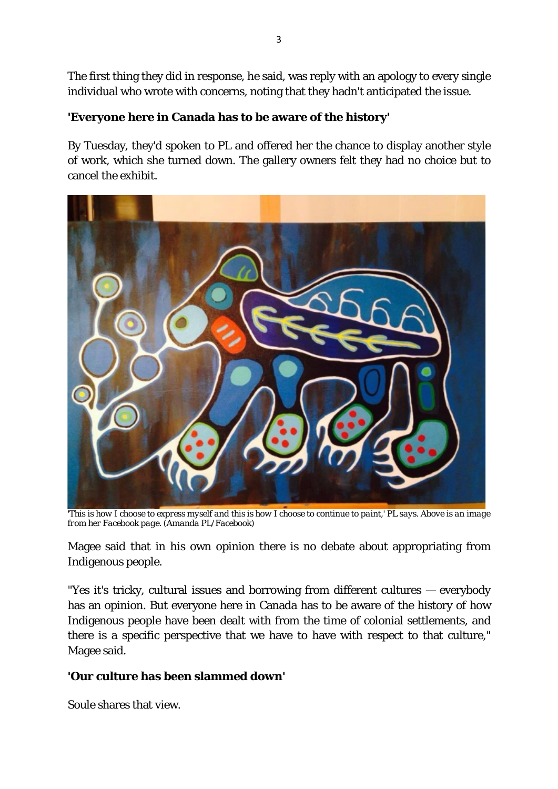The first thing they did in response, he said, was reply with an apology to every single individual who wrote with concerns, noting that they hadn't anticipated the issue.

### **'Everyone here in Canada has to be aware of the history'**

By Tuesday, they'd spoken to PL and offered her the chance to display another style of work, which she turned down. The gallery owners felt they had no choice but to cancel the exhibit.



*'This is how I choose to express myself and this is how I choose to continue to paint,' PL says. Above is an image from her Facebook page. (Amanda PL/Facebook)*

Magee said that in his own opinion there is no debate about appropriating from Indigenous people.

"Yes it's tricky, cultural issues and borrowing from different cultures — everybody has an opinion. But everyone here in Canada has to be aware of the history of how Indigenous people have been dealt with from the time of colonial settlements, and there is a specific perspective that we have to have with respect to that culture," Magee said.

## **'Our culture has been slammed down'**

Soule shares that view.